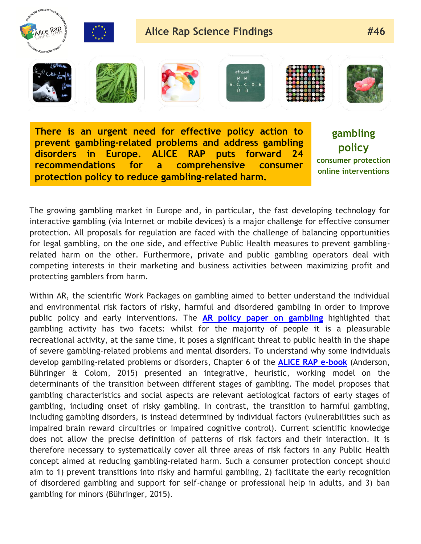

**There is an urgent need for effective policy action to prevent gambling-related problems and address gambling disorders in Europe. ALICE RAP puts forward 24 recommendations for a comprehensive consumer protection policy to reduce gambling-related harm.**

**gambling policy consumer protection online interventions**

The growing gambling market in Europe and, in particular, the fast developing technology for interactive gambling (via Internet or mobile devices) is a major challenge for effective consumer protection. All proposals for regulation are faced with the challenge of balancing opportunities for legal gambling, on the one side, and effective Public Health measures to prevent gamblingrelated harm on the other. Furthermore, private and public gambling operators deal with competing interests in their marketing and business activities between maximizing profit and protecting gamblers from harm.

Within AR, the scientific Work Packages on gambling aimed to better understand the individual and environmental risk factors of risky, harmful and disordered gambling in order to improve public policy and early interventions. The **[AR policy paper on gambling](http://www.alicerap.eu/resources/documents/doc_download/128-policy-paper-2-gambling-two-sides-of-the-same-coin.html)** highlighted that gambling activity has two facets: whilst for the majority of people it is a pleasurable recreational activity, at the same time, it poses a significant threat to public health in the shape of severe gambling-related problems and mental disorders. To understand why some individuals develop gambling-related problems or disorders, Chapter 6 of the **[ALICE RAP e-book](http://www.alicerap.eu/resources/documents/doc_download/216-alice-rap-e-book-reframing-addictions-policies-processes-and-pressures.html)** (Anderson, Bühringer & Colom, 2015) presented an integrative, heuristic, working model on the determinants of the transition between different stages of gambling. The model proposes that gambling characteristics and social aspects are relevant aetiological factors of early stages of gambling, including onset of risky gambling. In contrast, the transition to harmful gambling, including gambling disorders, is instead determined by individual factors (vulnerabilities such as impaired brain reward circuitries or impaired cognitive control). Current scientific knowledge does not allow the precise definition of patterns of risk factors and their interaction. It is therefore necessary to systematically cover all three areas of risk factors in any Public Health concept aimed at reducing gambling-related harm. Such a consumer protection concept should aim to 1) prevent transitions into risky and harmful gambling, 2) facilitate the early recognition of disordered gambling and support for self-change or professional help in adults, and 3) ban gambling for minors (Bühringer, 2015).